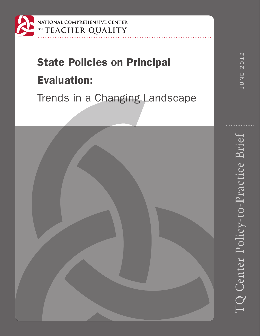

## NATIONAL COMPREHENSIVE CENTER FORTEACHER QUALITY

# State Policies on Principal

# Evaluation:

Trends in a Changing Landscape

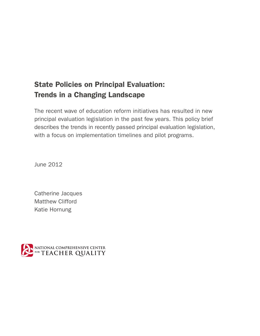# State Policies on Principal Evaluation: Trends in a Changing Landscape

The recent wave of education reform initiatives has resulted in new principal evaluation legislation in the past few years. This policy brief describes the trends in recently passed principal evaluation legislation, with a focus on implementation timelines and pilot programs.

June 2012

Catherine Jacques Matthew Clifford Katie Hornung

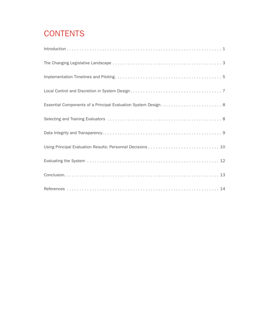# **CONTENTS**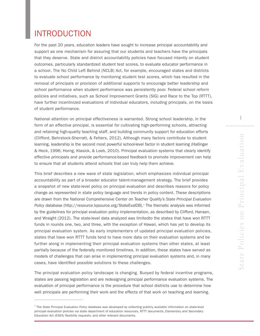# INTRODUCTION

\_\_\_\_\_\_\_\_\_\_\_\_\_\_\_\_\_\_\_\_\_\_\_\_\_\_\_\_\_\_

For the past 20 years, education leaders have sought to increase principal accountability and support as one mechanism for assuring that our students and teachers have the principals that they deserve. State and district accountability policies have focused intently on student outcomes, particularly standardized student test scores, to evaluate educator performance in a school. The No Child Left Behind (NCLB) Act, for example, encouraged states and districts to evaluate school performance by monitoring student test scores, which has resulted in the removal of principals or provision of additional supports to encourage better leadership and school performance when student performance was persistently poor. Federal school reform policies and initiatives, such as School Improvement Grants (SIG) and Race to the Top (RTTT), have further incentivized evaluations of individual educators, including principals, on the basis of student performance.

National attention on principal effectiveness is warranted. Strong school leadership, in the form of an effective principal, is essential for cultivating high-performing schools, attracting and retaining high-quality teaching staff, and building community support for education efforts (Clifford, Behrstock-Sherratt, & Fetters, 2012), Although many factors contribute to student learning, leadership is the second most powerful school-level factor in student learning (Hallinger & Heck, 1996; Horng, Klasick, & Loeb, 2010). Principal evaluation systems that clearly identify effective principals and provide performance-based feedback to promote improvement can help to ensure that all students attend schools that can truly help them achieve.

This brief describes a new wave of state legislation, which emphasizes individual principal accountability as part of a broader educator talent-management strategy. The brief provides a snapshot of new state-level policy on principal evaluation and describes reasons for policy change as represented in state policy language and trends in policy content. These descriptions are drawn from the National Comprehensive Center on Teacher Quality's *State Principal Evaluation*  Policy database ([http://resource.tqsource.org/StateEvalDB\)](http://resource.tqsource.org/StateEvalDB).<sup>1</sup> The thematic analysis was informed by the guidelines for principal evaluation policy implementation, as described by Clifford, Hansen, and Wraight (2012). The state-level data analyzed was limitedto the states that have won RTTT funds in rounds one, two, and three, with the exception of Hawaii, which has yet to develop its principal evaluation system. As early implementers of updated principal evaluation policies, states that have won RTTT funds tend to have more data on their evaluation systems and be further along in implementing their principal evaluation systems than other states, at least partially because of the federally monitored timelines. In addition, these states have served as models of challenges that can arise in implementing principal evaluation systems and, in many cases, have identified possible solutions to these challenges.

The principal evaluation policy landscape is changing. Buoyed by federal incentive programs, states are passing legislation and are redesigning principal performance evaluation systems. The evaluation of principal performance is the procedure that school districts use to determine how well principals are performing their work and the effects of that work on teaching and learning.

1

<sup>1</sup> The *State Principal Evaluation Policy* database was developed by collecting publicly available information on state-level principal evaluation policies via state department of education resources, RTTT documents, Elementary and Secondary Education Act (ESEA) flexibility requests, and other relevant documents.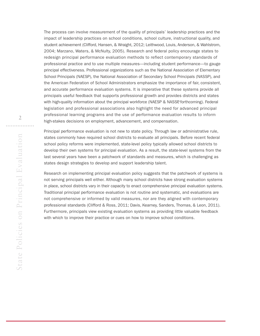The process can involve measurement of the quality of principals' leadership practices and the impact of leadership practices on school conditions, school culture, instructional quality, and student achievement (Clifford, Hansen, & Wraight, 2012; Leithwood, Louis, Anderson, & Wahlstrom, 2004; Marzano, Waters, & McNulty, 2005). Research and federal policy encourage states to redesign principal performance evaluation methods to reflect contemporary standards of professional practice and to use multiple measures—including student performance—to gauge principal effectiveness. Professional organizations such as the National Association of Elementary School Principals (NAESP), the National Association of Secondary School Principals (NASSP), and the American Federation of School Administrators emphasize the importance of fair, consistent, and accurate performance evaluation systems. It is imperative that these systems provide all principals useful feedback that supports professional growth and provides districts and states with high-quality information about the principal workforce (NAESP & NASSP, forthcoming). Federal legislation and professional associations also highlight the need for advanced principal professional learning programs and the use of performance evaluation results to inform high-stakes decisions on employment, advancement, and compensation.

Principal performance evaluation is not new to state policy. Through law or administrative rule, states commonly have required school districts to evaluate all principals. Before recent federal school policy reforms were implemented, state-level policy typically allowed school districts to develop their own systems for principal evaluation. As a result, the state-level systems from the last several years have been a patchwork of standards and measures, which is challenging as states design strategies to develop and support leadership talent.

Research on implementing principal evaluation policy suggests that the patchwork of systems is not serving principals well either. Although many school districts have strong evaluation systems in place, school districts vary in their capacity to enact comprehensive principal evaluation systems. Traditional principal performance evaluation is not routine and systematic, and evaluations are not comprehensive or informed by valid measures, nor are they aligned with contemporary professional standards (Clifford & Ross, 2011; Davis, Kearney, Sanders, Thomas, & Leon, 2011). Furthermore, principals view existing evaluation systems as providing little valuable feedback with which to improve their practice or cues on how to improve school conditions.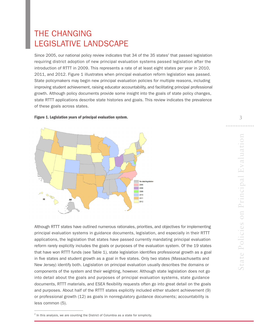# THE CHANGING LEGISLATIVE LANDSCAPE

Since 2005, our national policy review indicates that 34 of the 35 states<sup>2</sup> that passed legislation requiring district adoption of new principal evaluation systems passed legislation after the introduction of RTTT in 2009. This represents a rate of at least eight states per year in 2010, 2011, and 2012. Figure 1 illustrates when principal evaluation reform legislation was passed. State policymakers may begin new principal evaluation policies for multiple reasons, including improving student achievement, raising educator accountability, and facilitating principal professional growth. Although policy documents provide some insight into the goals of state policy changes, state RTTT applications describe state histories and goals. This review indicates the prevalence of these goals across states.

#### Figure 1. Legislation years of principal evaluation system.



Although RTTT states have outlined numerous rationales, priorities, and objectives for implementing principal evaluation systems in guidance documents, legislation, and especially in their RTTT applications, the legislation that states have passed currently mandating principal evaluation reform rarely explicitly includes the goals or purposes of the evaluation system. Of the 19 states that have won RTTT funds (see Table 1), state legislation identifies professional growth as a goal in five states and student growth as a goal in five states. Only two states (Massachusetts and New Jersey) identify both. Legislation on principal evaluation usually describes the domains or components of the system and their weighting, however. Although state legislation does not go into detail about the goals and purposes of principal evaluation systems, state guidance 1 documents, RTTT materials, and ESEA flexibility requests often go into great detail on the goals and purposes. About half of the RTTT states explicitly included either student achievement (9) or professional growth (12) as goals in nonregulatory guidance documents; accountability is less common (5).

3

. . . . . . . .

\_\_\_\_\_\_\_\_\_\_\_\_\_\_\_\_\_\_\_\_\_\_\_\_\_\_\_\_\_\_

 $2$  In this analysis, we are counting the District of Columbia as a state for simplicity.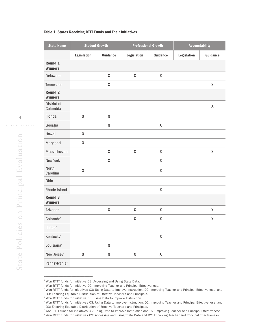#### Table 1. States Receiving RTTT Funds and Their Initiatives

| <b>State Name</b>                | <b>Student Growth</b><br><b>Professional Growth</b> |                    | <b>Accountability</b>     |                    |             |                    |
|----------------------------------|-----------------------------------------------------|--------------------|---------------------------|--------------------|-------------|--------------------|
|                                  | Legislation                                         | <b>Guidance</b>    | Legislation               | <b>Guidance</b>    | Legislation | Guidance           |
| Round 1<br><b>Winners</b>        |                                                     |                    |                           |                    |             |                    |
| Delaware                         |                                                     | $\pmb{\mathsf{X}}$ | $\boldsymbol{\mathsf{X}}$ | $\pmb{\mathsf{X}}$ |             |                    |
| Tennessee                        |                                                     | X                  |                           |                    |             | $\pmb{\mathsf{X}}$ |
| <b>Round 2</b><br><b>Winners</b> |                                                     |                    |                           |                    |             |                    |
| District of<br>Columbia          |                                                     |                    |                           |                    |             | $\pmb{\mathsf{X}}$ |
| Florida                          | $\pmb{\chi}$                                        | $\pmb{\mathsf{X}}$ |                           |                    |             |                    |
| Georgia                          |                                                     | X                  |                           | $\pmb{\mathsf{X}}$ |             |                    |
| Hawaii                           | $\pmb{\chi}$                                        |                    |                           |                    |             |                    |
| Maryland                         | $\pmb{\mathsf{X}}$                                  |                    |                           |                    |             |                    |
| Massachusetts                    |                                                     | $\pmb{\mathsf{X}}$ | $\pmb{\mathsf{X}}$        | $\pmb{\mathsf{X}}$ |             | $\pmb{\mathsf{X}}$ |
| New York                         |                                                     | $\pmb{\mathsf{X}}$ |                           | X                  |             |                    |
| North<br>Carolina                | $\pmb{\chi}$                                        |                    |                           | $\pmb{\mathsf{X}}$ |             |                    |
| Ohio                             |                                                     |                    |                           |                    |             |                    |
| Rhode Island                     |                                                     |                    |                           | $\pmb{\mathsf{X}}$ |             |                    |
| Round 3<br><b>Winners</b>        |                                                     |                    |                           |                    |             |                    |
| Arizona <sup>ª</sup>             |                                                     | $\pmb{\mathsf{X}}$ | X                         | X                  |             | X                  |
| Colorado <sup>b</sup>            |                                                     |                    | $\boldsymbol{\mathsf{X}}$ | $\pmb{\mathsf{X}}$ |             | X                  |
| <b>Illinois</b> <sup>c</sup>     |                                                     |                    |                           |                    |             |                    |
| Kentucky <sup>d</sup>            |                                                     |                    |                           | $\pmb{\mathsf{X}}$ |             |                    |
| Louisiana <sup>e</sup>           |                                                     | $\pmb{\mathsf{X}}$ |                           |                    |             |                    |
| New Jerseyf                      | $\pmb{\mathsf{X}}$                                  | $\pmb{\mathsf{X}}$ | $\pmb{\mathsf{X}}$        | $\pmb{\mathsf{X}}$ |             |                    |
| Pennsylvania <sup>®</sup>        |                                                     |                    |                           |                    |             |                    |

<sup>&</sup>lt;sup>a</sup> Won RTTT funds for initiative C2: Accessing and Using State Data.

\_\_\_\_\_\_\_\_\_\_\_\_\_\_\_\_\_\_\_\_\_\_\_\_\_\_\_\_\_\_

<sup>g</sup> Won RTTT funds for Initiatives C2: Accessing and Using State Data and D2: Improving Teacher and Principal Effectiveness.

<sup>&</sup>lt;sup>b</sup> Won RTTT funds for initiative D2: Improving Teacher and Principal Effectiveness.

<sup>&</sup>lt;sup>c</sup> Won RTTT funds for initiatives C3: Using Data to Improve Instruction, D2: Improving Teacher and Principal Effectiveness, and D3: Ensuring Equitable Distribution of Effective Teachers and Principals.

d Won RTTT funds for initiative C3: Using Data to Improve Instruction.

e Won RTTT funds for initiatives C3: Using Data to Improve Instruction, D2: Improving Teacher and Principal Effectiveness, and D3: Ensuring Equitable Distribution of Effective Teachers and Principals.

f Won RTTT funds for initiatives C3: Using Data to Improve Instruction and D2: Improving Teacher and Principal Effectiveness.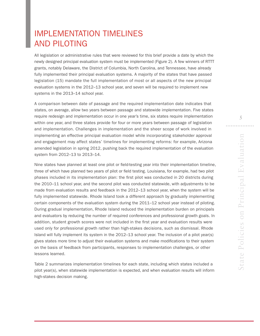# IMPLEMENTATION TIMELINES AND PILOTING

All legislation or administrative rules that were reviewed for this brief provide a date by which the newly designed principal evaluation system must be implemented (Figure 2). A few winners of RTTT grants, notably Delaware, the District of Columbia, North Carolina, and Tennessee, have already fully implemented their principal evaluation systems. A majority of the states that have passed legislation (15) mandate the full implementation of most or all aspects of the new principal evaluation systems in the 2012–13 school year, and seven will be required to implement new systems in the 2013–14 school year.

A comparison between date of passage and the required implementation date indicates that states, on average, allow two years between passage and statewide implementation. Five states require redesign and implementation occur in one year's time, six states require implementation within one year, and three states provide for four or more years between passage of legislation and implementation. Challenges in implementation and the sheer scope of work involved in implementing an effective principal evaluation model while incorporating stakeholder approval and engagement may affect states' timelines for implementing reforms: for example, Arizona amended legislation in spring 2012, pushing back the required implementation of the evaluation system from 2012–13 to 2013–14.

Nine states have planned at least one pilot or field-testing year into their implementation timeline, three of which have planned two years of pilot or field testing. Louisiana, for example, had two pilot phases included in its implementation plan: the first pilot was conducted in 20 districts during the 2010–11 school year, and the second pilot was conducted statewide, with adjustments to be made from evaluation results and feedback in the 2012–13 school year, when the system will be fully implemented statewide. Rhode Island took a different approach by gradually implementing certain components of the evaluation system during the 2011–12 school year instead of piloting. During gradual implementation, Rhode Island reduced the implementation burden on principals and evaluators by reducing the number of required conferences and professional growth goals. In addition, student growth scores were not included in the first year and evaluation results were used only for professional growth rather than high-stakes decisions, such as dismissal. Rhode Island will fully implement its system in the 2012–13 school year. The inclusion of a pilot year(s) gives states more time to adjust their evaluation systems and make modifications to their system on the basis of feedback from participants, responses to implementation challenges, or other lessons learned.

Table 2 summarizes implementation timelines for each state, including which states included a pilot year(s), when statewide implementation is expected, and when evaluation results will inform high-stakes decision making.

5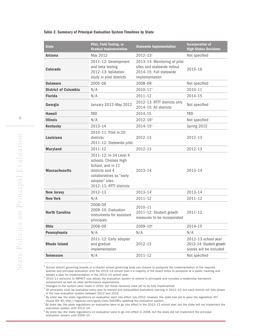#### Table 2. Summary of Principal Evaluation System Timelines by State

| <b>State</b>                | Pilot, Field Testing, or<br><b>Gradual Implementation</b>                                                                                                        | <b>Statewide Implementation</b>                                                                          | <b>Incorporation of</b><br><b>High-Stakes Decisions</b>                   |
|-----------------------------|------------------------------------------------------------------------------------------------------------------------------------------------------------------|----------------------------------------------------------------------------------------------------------|---------------------------------------------------------------------------|
| <b>Arizona</b>              | May 2012                                                                                                                                                         | $2012 - 13$ <sup>a</sup>                                                                                 | Not specified                                                             |
| <b>Colorado</b>             | 2011-12: Development<br>and beta testing<br>2012-13: Validation<br>study in pilot districts                                                                      | 2013-14: Monitoring of pilot<br>sites and statewide rollout<br>2014-15: Full statewide<br>implementation | 2015–16                                                                   |
| <b>Delaware</b>             | 2005-06                                                                                                                                                          | $2008 - 09$ °                                                                                            | Not specified                                                             |
| <b>District of Columbia</b> | N/A                                                                                                                                                              | $2010 - 11$ <sup>b</sup>                                                                                 | 2010-11                                                                   |
| <b>Florida</b>              | N/A                                                                                                                                                              | $2011 - 12$                                                                                              | $2014 - 15$                                                               |
| Georgia                     | January 2012-May 2012                                                                                                                                            | 2012-13: RTTT districts only<br>2014-15: All districts                                                   | Not specified                                                             |
| <b>Hawaii</b>               | <b>TBD</b>                                                                                                                                                       | 2014-15                                                                                                  | TBD                                                                       |
| <b>Illinois</b>             | N/A                                                                                                                                                              | $2012 - 16$ <sup>d</sup>                                                                                 | Not specified                                                             |
| <b>Kentucky</b>             | 2013-14                                                                                                                                                          | $2014 - 15^{\circ}$                                                                                      | Spring 2015                                                               |
| <b>Louisiana</b>            | 2010-11: Pilot in 20<br>districts<br>2011-12: Statewide pilot                                                                                                    | 2012-13                                                                                                  | 2012-13                                                                   |
| <b>Maryland</b>             | $2011 - 12$                                                                                                                                                      | 2012-13                                                                                                  | 2012-13                                                                   |
| <b>Massachusetts</b>        | 2011-12: In 34 Level 4<br>schools, Chelsea High<br>School, and in 11<br>districts and 4<br>collaboratives as "early<br>adopter" sites<br>2012-13: RTTT districts | 2013-14                                                                                                  | 2013-14                                                                   |
| <b>New Jersey</b>           | 2012-13                                                                                                                                                          | $2013 - 14$ <sup>f</sup>                                                                                 | 2013-14                                                                   |
| <b>New York</b>             | N/A                                                                                                                                                              | $2011 - 12$                                                                                              | $2011 - 12$                                                               |
| <b>North Carolina</b>       | 2008-09<br>2009-10: Evaluation<br>instruments for assistant<br>principals                                                                                        | 2010-11<br>2011-12: Student growth<br>measures to be incorporated                                        | $2011 - 12$                                                               |
| <b>Ohio</b>                 | 2008-09                                                                                                                                                          | $2009 - 10$ <sup>g</sup>                                                                                 | 2014-15                                                                   |
| Pennsylvania                | N/A                                                                                                                                                              | N/A                                                                                                      | N/A                                                                       |
| <b>Rhode Island</b>         | 2011-12: Early adopter<br>and gradual<br>implementation                                                                                                          | $2012 - 13$                                                                                              | 2012-13 school year<br>2013-14: Student growth<br>scores will be included |
| <b>Tennessee</b>            | N/A                                                                                                                                                              | $2011 - 12$                                                                                              | Not specified                                                             |

School district governing boards or a charter school governing body can choose to postpone the implementation of the required teacher and principal evaluation until the 2013–14 school year if a majority of the board votes to postpone at a public meeting and adopts a plan for implementation in the 2013–14 school year.

b 2010–11 revisions to IMPACT now allows the evaluation system to extend to principals and includes a leadership framework assessment as well as clear performance expectations.

 $\degree$  Changes to the system were made in 2010, but these revisions have yet to be fully implemented.

\_\_\_\_\_\_\_\_\_\_\_\_\_\_\_\_\_\_\_\_\_\_\_\_\_\_\_\_\_\_

 $^d$  All principals must be evaluated every year by trained and prequalified evaluators starting in 2012–13, but each district will fully phase in the new evaluation system between 2012 and 2016.

e By state law, the state regulations on evaluation went into effect July 2010; however, the state has yet to pass the legislation (KY House Bill 40; http://legiscan.com/gaits/view/346280) updating the evaluation system.

<sup>f</sup> By state law, the state regulations on evaluation were to go into effect in the 2012–13 school year, but the state will not implement the evaluation system until 2013–14.

 $8$  By state law, the state regulations on evaluation were to go into effect in 2008, but the state did not implement the principal evaluation system until 2009–10.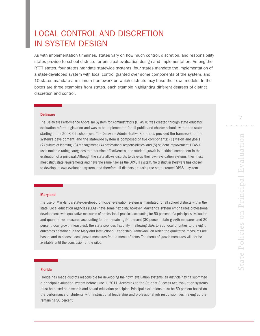# LOCAL CONTROL AND DISCRETION IN SYSTEM DESIGN

As with implementation timelines, states vary on how much control, discretion, and responsibility states provide to school districts for principal evaluation design and implementation. Among the RTTT states, four states mandate statewide systems, four states mandate the implementation of a state-developed system with local control granted over some components of the system, and 10 states mandate a minimum framework on which districts may base their own models. In the boxes are three examples from states, each example highlighting different degrees of district discretion and control.

### Delaware (1986) and the contract of the contract of the contract of the contract of the contract of the contract of the contract of the contract of the contract of the contract of the contract of the contract of the contra

The Delaware Performance Appraisal System for Administrators (DPAS II) was created through state educator evaluation reform legislation and was to be implemented for all public and charter schools within the state starting in the 2008–09 school year. The Delaware Administrative Standards provided the framework for the system's development, and the statewide system is composed of five components: (1) vision and goals, (2) culture of learning, (3) management, (4) professional responsibilities, and (5) student improvement. DPAS II uses multiple rating categories to determine effectiveness, and student growth is a critical component in the evaluation of a principal. Although the state allows districts to develop their own evaluation systems, they must meet strict state requirements and have the same rigor as the DPAS II system. No district in Delaware has chosen to develop its own evaluation system, and therefore all districts are using the state-created DPAS II system.

#### Maryland

The use of Maryland's state-developed principal evaluation system is mandated for all school districts within the state. Local education agencies (LEAs) have some flexibility, however. Maryland's system emphasizes professional development, with qualitative measures of professional practice accounting for 50 percent of a principal's evaluation and quantitative measures accounting for the remaining 50 percent (30 percent state growth measures and 20 percent local growth measures). The state provides flexibility in allowing LEAs to add local priorities to the eight outcomes contained in the Maryland Instructional Leadership Framework, on which the qualitative measures are based, and to choose local growth measures from a menu of items. The menu of growth measures will not be available until the conclusion of the pilot.

#### Florida

Florida has made districts responsible for developing their own evaluation systems, all districts having submitted a principal evaluation system before June 1, 2011. According to the Student Success Act, evaluation systems must be based on research and sound education principles. Principal evaluations must be 50 percent based on the performance of students, with instructional leadership and professional job responsibilities making up the remaining 50 percent.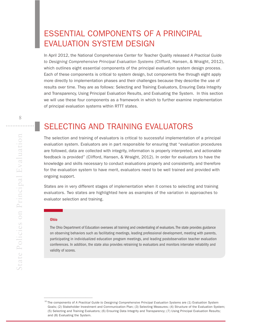# ESSENTIAL COMPONENTS OF A PRINCIPAL EVALUATION SYSTEM DESIGN

In April 2012, the National Comprehensive Center for Teacher Quality released *A Practical Guide to Designing Comprehensive Principal Evaluation Systems* (Clifford, Hansen, & Wraight, 2012), which outlines eight essential components of the principal evaluation system design process. Each of these components is critical to system design, but components five through eight apply more directly to implementation phases and their challenges because they describe the use of results over time. They are as follows: Selecting and Training Evaluators, Ensuring Data Integrity and Transparency, Using Principal Evaluation Results, and Evaluating the System. In this section we will use these four components as a framework in which to further examine implementation of principal evaluation systems within RTTT states.

8

# SELECTING AND TRAINING EVALUATORS

The selection and training of evaluators is critical to successful implementation of a principal evaluation system. Evaluators are in part responsible for ensuring that "evaluation procedures are followed, data are collected with integrity, information is properly interpreted, and actionable feedback is provided" (Clifford, Hansen, & Wraight, 2012). In order for evaluators to have the knowledge and skills necessary to conduct evaluations properly and consistently, and therefore for the evaluation system to have merit, evaluators need to be well trained and provided with ongoing support.

States are in very different stages of implementation when it comes to selecting and training evaluators. Two states are highlighted here as examples of the variation in approaches to evaluator selection and training.

#### Ohio

\_\_\_\_\_\_\_\_\_\_\_\_\_\_\_\_\_\_\_\_\_\_\_\_\_\_\_\_\_\_

The Ohio Department of Education oversees all training and credentialing of evaluators. The state provides guidance on observing behaviors such as facilitating meetings, leading professional development, meeting with parents, participating in individualized education program meetings, and leading postobservation teacher evaluation conferences. In addition, the state also provides retraining to evaluators and monitors interrater reliability and validity of scores.

<sup>10</sup> The components of *A Practical Guide to Designing Comprehensive Principal Evaluation Systems* are (1) Evaluation System Goals; (2) Stakeholder Investment and Communication Plan; (3) Selecting Measures; (4) Structure of the Evaluation System; (5) Selecting and Training Evaluators; (6) Ensuring Data Integrity and Transparency; (7) Using Principal Evaluation Results; and (8) Evaluating the System.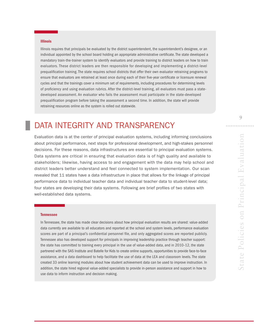#### Illinois

Illinois requires that principals be evaluated by the district superintendent, the superintendent's designee, or an individual appointed by the school board holding an appropriate administrative certificate. The state developed a mandatory train-the-trainer system to identify evaluators and provide training to district leaders on how to train evaluators. These district leaders are then responsible for developing and implementing a district-level prequalification training. The state requires school districts that offer their own evaluator retraining programs to ensure that evaluators are retrained at least once during each of their five-year certificate or licensure renewal cycles and that the trainings cover a minimum set of requirements, including procedures for determining levels of proficiency and using evaluation rubrics. After the district-level training, all evaluators must pass a statedeveloped assessment. An evaluator who fails the assessment must participate in the state-developed prequalification program before taking the assessment a second time. In addition, the state will provide retraining resources online as the system is rolled out statewide.

# DATA INTEGRITY AND TRANSPARENCY

Evaluation data is at the center of principal evaluation systems, including informing conclusions about principal performance, next steps for professional development, and high-stakes personnel decisions. For these reasons, data infrastructures are essential to principal evaluation systems. Data systems are critical in ensuring that evaluation data is of high quality and available to stakeholders; likewise, having access to and engagement with the data may help school and district leaders better understand and feel connected to system implementation. Our scan revealed that 11 states have a data infrastructure in place that allows for the linkage of principal performance data to individual teacher data and individual teacher data to student-level data; four states are developing their data systems. Following are brief profiles of two states with well-established data systems.

#### Tennessee

In Tennessee, the state has made clear decisions about how principal evaluation results are shared: value-added data currently are available to all educators and reported at the school and system levels, performance evaluation scores are part of a principal's confidential personnel file, and only aggregated scores are reported publicly. Tennessee also has developed support for principals in improving leadership practice through teacher support: the state has committed to training every principal in the use of value-added data, and in 2010–12, the state partnered with the SAS Institute and Batelle for Kids to create online supports, opportunities to provide face-to-face assistance, and a data dashboard to help facilitate the use of data at the LEA and classroom levels. The state created 33 online learning modules about how student achievement data can be used to improve instruction. In addition, the state hired regional value-added specialists to provide in-person assistance and support in how to use data to inform instruction and decision making.

9

. . . . . . . .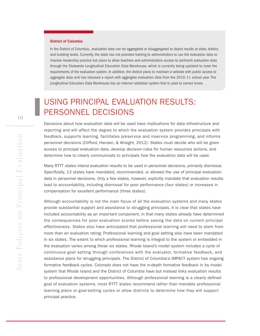#### District of Columbia

In the District of Columbia., evaluation data can be aggregated or disaggregated to depict results at state, district, and building levels. Currently, the state has not provided training to administrators to use the evaluation data to improve leadership practice but plans to allow teachers and administrators access to pertinent evaluation data through the Statewide Longitudinal Education Data Warehouse, which is currently being updated to meet the requirements of the evaluation system. In addition, the district plans to maintain a website with public access to aggregate data and has released a report with aggregate evaluation data from the 2010–11 school year. The Longitudinal Education Data Warehouse has an internal validation system that is used to correct errors.

# USING PRINCIPAL EVALUATION RESULTS: PERSONNEL DECISIONS

Decisions about how evaluation data will be used have implications for data infrastructure and reporting and will affect the degree to which the evaluation system provides principals with feedback, supports learning, facilitates preservice and inservice programming, and informs personnel decisions (Clifford, Hansen, & Wraight, 2012). States must decide who will be given access to principal evaluation data, develop decision rules for human resources actions, and determine how to clearly communicate to principals how the evaluation data will be used.

Many RTTT states intend evaluation results to be used in personnel decisions, primarily dismissal. Specifically, 13 states have mandated, recommended, or allowed the use of principal evaluation data in personnel decisions. Only a few states, however, explicitly mandate that evaluation results lead to accountability, including dismissal for poor performance (four states) or increases in compensation for excellent performance (three states).

Although accountability is not the main focus of all the evaluation systems and many states provide substantial support and assistance to struggling principals, it is clear that states have included accountability as an important component, in that many states already have determined the consequences for poor evaluation scores before seeing the data on current principal effectiveness. States also have anticipated that professional learning will need to stem from more than an evaluation rating: Professional learning and goal setting also have been mandated in six states. The extent to which professional learning is integral to the system or embedded in the evaluation varies among these six states. Rhode Island's model system includes a cycle of continuous goal setting through conferences with the evaluator, formative feedback, and assistance plans for struggling principals. The District of Columbia's IMPACT system has ongoing formative feedback cycles. Colorado does not have the in-depth formative feedback in its model system that Rhode Island and the District of Columbia have but instead links evaluation results to professional development opportunities. Although professional learning is a clearly defined goal of evaluation systems, most RTTT states recommend rather than mandate professional learning plans or goal-setting cycles or allow districts to determine how they will support principal practice.

. . . . . . . . . . .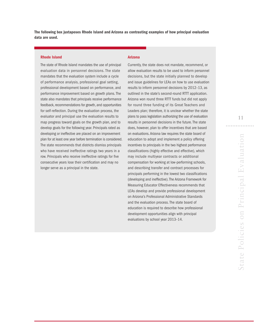The following box juxtaposes Rhode Island and Arizona as contrasting examples of how principal evaluation data are used.

#### Rhode Island

The state of Rhode Island mandates the use of principal evaluation data in personnel decisions. The state mandates that the evaluation system include a cycle of performance analysis, professional goal setting, professional development based on performance, and performance improvement based on growth plans. The state also mandates that principals receive performance feedback, recommendations for growth, and opportunities for self-reflection. During the evaluation process, the evaluator and principal use the evaluation results to map progress toward goals on the growth plan, and to develop goals for the following year. Principals rated as developing or ineffective are placed on an improvement plan for at least one year before termination is considered. The state recommends that districts dismiss principals who have received ineffective ratings two years in a row. Principals who receive ineffective ratings for five consecutive years lose their certification and may no longer serve as a principal in the state.

#### Arizona

Currently, the state does not mandate, recommend, or allow evaluation results to be used to inform personnel decisions, but the state initially planned to develop and issue guidelines for LEAs on how to use evaluation results to inform personnel decisions by 2012–13, as outlined in the state's second-round RTTT application. Arizona won round three RTTT funds but did not apply for round three funding of its Great Teachers and Leaders plan; therefore, it is unclear whether the state plans to pass legislation authorizing the use of evaluation results in personnel decisions in the future. The state does, however, plan to offer incentives that are based on evaluations. Arizona law requires the state board of education to adopt and implement a policy offering incentives to principals in the two highest performance classifications (highly effective and effective), which may include multiyear contracts or additional compensation for working at low-performing schools, and describing transfer and contract processes for principals performing in the lowest two classifications (developing and ineffective). The Arizona Framework for Measuring Educator Effectiveness recommends that LEAs develop and provide professional development on Arizona's Professional Administrative Standards and the evaluation process. The state board of education is required to describe how professional development opportunities align with principal evaluations by school year 2013–14.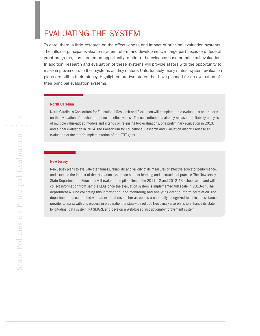# EVALUATING THE SYSTEM

To date, there is little research on the effectiveness and impact of principal evaluation systems. The influx of principal evaluation system reform and development, in large part because of federal grant programs, has created an opportunity to add to the evidence base on principal evaluation. In addition, research and evaluation of these systems will provide states with the opportunity to make improvements to their systems as they mature. Unfortunately, many states' system evaluation plans are still in their infancy. Highlighted are two states that have planned for an evaluation of their principal evaluation systems.

#### North Carolina

North Carolina's Consortium for Educational Research and Evaluation will complete three evaluations and reports on the evaluation of teacher and principal effectiveness. The consortium has already released a reliability analysis of multiple value-added models and intends on releasing two evaluations, one preliminary evaluation in 2013, and a final evaluation in 2014. The Consortium for Educational Research and Evaluation also will release an evaluation of the state's implementation of the RTTT grant.

#### New Jersey

New Jersey plans to evaluate the fairness, reliability, and validity of its measures of effective educator performance, and examine the impact of the evaluation system on student learning and instructional practice. The New Jersey State Department of Education will evaluate the pilot sites in the 2011–12 and 2012–13 school years and will collect information from sample LEAs once the evaluation system is implemented full scale in 2013–14. The department will be collecting this information, and monitoring and analyzing data to inform correlation. The department has contracted with an external researcher as well as a nationally recognized technical assistance provider to assist with this process in preparation for statewide rollout. New Jersey also plans to enhance its state longitudinal data system, NJ SMART, and develop a Web-based instructional-improvement system.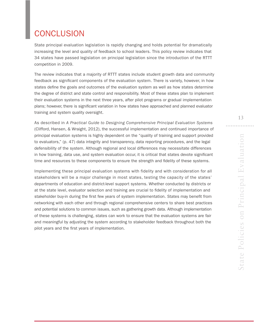# **CONCLUSION**

State principal evaluation legislation is rapidly changing and holds potential for dramatically increasing the level and quality of feedback to school leaders. This policy review indicates that 34 states have passed legislation on principal legislation since the introduction of the RTTT competition in 2009.

The review indicates that a majority of RTTT states include student growth data and community feedback as significant components of the evaluation system. There is variety, however, in how states define the goals and outcomes of the evaluation system as well as how states determine the degree of district and state control and responsibility. Most of these states plan to implement their evaluation systems in the next three years, after pilot programs or gradual implementation plans; however, there is significant variation in how states have approached and planned evaluator training and system quality oversight.

As described in *A Practical Guide to Designing Comprehensive Principal Evaluation Systems* (Clifford, Hansen, & Wraight, 2012), the successful implementation and continued importance of principal evaluation systems is highly dependent on the "quality of training and support provided to evaluators," (p. 47) data integrity and transparency, data reporting procedures, and the legal defensibility of the system. Although regional and local differences may necessitate differences in how training, data use, and system evaluation occur, it is critical that states devote significant time and resources to these components to ensure the strength and fidelity of these systems.

Implementing these principal evaluation systems with fidelity and with consideration for all stakeholders will be a major challenge in most states, testing the capacity of the states' departments of education and district-level support systems. Whether conducted by districts or at the state level, evaluator selection and training are crucial to fidelity of implementation and stakeholder buy-in during the first few years of system implementation. States may benefit from networking with each other and through regional comprehensive centers to share best practices and potential solutions to common issues, such as gathering growth data. Although implementation of these systems is challenging, states can work to ensure that the evaluation systems are fair and meaningful by adjusting the system according to stakeholder feedback throughout both the pilot years and the first years of implementation.

13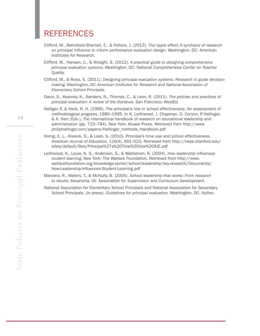### REFERENCES

- Clifford, M., Behrstock-Sherratt, E., & Fetters, J. (2012). *The ripple effect: A synthesis of research on principal influence to inform performance evaluation design.* Washington, DC: American Institutes for Research.
- Clifford, M., Hansen, U., & Wraight, S. (2012). *A practical guide to designing comprehensive principal evaluation systems.* Washington, DC: National Comprehensive Center on Teacher Quality.
- Clifford, M., & Ross, S. (2011). *Designing principal evaluation systems: Research to guide decisionmaking. Washington, DC: American Institutes for Research and National Association of Elementary School Principals.*
- Davis, S., Kearney, K., Sanders, N., Thomas, C., & Leon, R. (2011). *The policies and practices of principal evaluation: A review of the literature.* San Francisco: WestEd.
- Halliger, P., & Heck, R. H. (1996). The principal's role in school effectiveness: An assessment of methodological progress, 1980–1995. In K. Leithwood, J. Chapman, D. Corson, P. Hallinger, & A. Hart (Eds.), *The international handbook of research on educational leadership and administration* (pp. 723–784). New York: Kluwer Press. Retrieved from [http://www.](http://www.philiphallinger.com/papers/Hallinger_methods_Handbook.pdf) [philiphallinger.com/papers/Hallinger\\_methods\\_Handbook.pdf](http://www.philiphallinger.com/papers/Hallinger_methods_Handbook.pdf)
- Horng, E. L., Klasick, D., & Loeb, S. (2010). Principal's time use and school effectiveness. *American Journal of Education, 116(*4), 491–523. Retrieved from [http://cepa.stanford.edu/](http://cepa.stanford.edu/sites/default/files/Principal%27s%20Time%20Use%20AJE.pdf) [sites/default/files/Principal%27s%20Time%20Use%20AJE.pdf](http://cepa.stanford.edu/sites/default/files/Principal%27s%20Time%20Use%20AJE.pdf)
- Leithwood, K., Louis, K. S., Anderson, S., & Wahlstrom, K. (2004). *How leadership influences student learning.* New York: The Wallace Foundation. Retrieved from [http://www.](http://www.wallacefoundation.org/knowledge-center/school-leadership/key-research/Documents/How-Leadership-Influences-Student-Learning.pdf) [wallacefoundation.org/knowledge-center/school-leadership/key-research/Documents/](http://www.wallacefoundation.org/knowledge-center/school-leadership/key-research/Documents/How-Leadership-Influences-Student-Learning.pdf) [How-Leadership-Influences-Student-Learning.pdf](http://www.wallacefoundation.org/knowledge-center/school-leadership/key-research/Documents/How-Leadership-Influences-Student-Learning.pdf)
- Marzano, R., Waters, T., & McNulty, B. (2005). *School leadership that works: From research to results. Alexandria,* VA: Association for Supervision and Curriculum Development.
- National Association for Elementary School Principals and National Association for Secondary School Principals. (in press). *Guidelines for principal evaluation.* Washington, DC: Author.

. . . . . . . . . . . .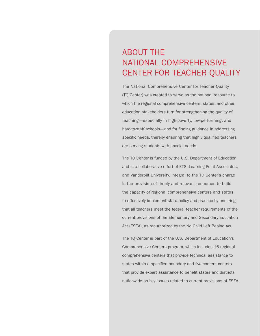# ABOUT THE NATIONAL COMPREHENSIVE CENTER FOR TEACHER QUALITY

The National Comprehensive Center for Teacher Quality (TQ Center) was created to serve as the national resource to which the regional comprehensive centers, states, and other education stakeholders turn for strengthening the quality of teaching—especially in high-poverty, low-performing, and hard-to-staff schools—and for finding guidance in addressing specific needs, thereby ensuring that highly qualified teachers are serving students with special needs.

The TQ Center is funded by the U.S. Department of Education and is a collaborative effort of ETS, Learning Point Associates, and Vanderbilt University. Integral to the TQ Center's charge is the provision of timely and relevant resources to build the capacity of regional comprehensive centers and states to effectively implement state policy and practice by ensuring that all teachers meet the federal teacher requirements of the current provisions of the Elementary and Secondary Education Act (ESEA), as reauthorized by the No Child Left Behind Act.

The TQ Center is part of the U.S. Department of Education's Comprehensive Centers program, which includes 16 regional comprehensive centers that provide technical assistance to states within a specified boundary and five content centers that provide expert assistance to benefit states and districts nationwide on key issues related to current provisions of ESEA.